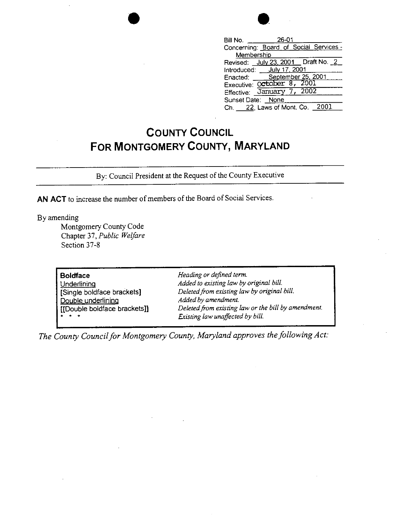| 26 |
|----|

| Bill No. 26-01                         |
|----------------------------------------|
| Concerning: Board of Social Services - |
| Membership                             |
| Revised: July 23, 2001 _ Draft No. 2   |
| Introduced: _ July 17, 2001            |
| Enacted: September 25, 2001            |
| Executive: October 8, 2001             |
| Effective: January 7, 2002             |
| Sunset Date: None                      |
| Ch. 22, Laws of Mont. Co. 2001         |

## **COUNTY COUNCIL FOR MONTGOMERY COUNTY, MARYLAND**

By: Council President at the Request of the County Executive

**AN ACT** to increase the number of members of the Board of Social Services.

•

By amending

Montgomery County Code Chapter 37, *Public Weijare*  Section 37-8

| <b>Boldface</b><br>Underlining<br>[Single boldface brackets]<br>Double underlining<br>[[Double boldface brackets]]<br>$\bullet$ $\bullet$ $\bullet$ | Heading or defined term.<br>Added to existing law by original bill.<br>Deleted from existing law by original bill.<br>Added by amendment.<br>Deleted from existing law or the bill by amendment.<br>Existing law unaffected by bill. |  |
|-----------------------------------------------------------------------------------------------------------------------------------------------------|--------------------------------------------------------------------------------------------------------------------------------------------------------------------------------------------------------------------------------------|--|
|-----------------------------------------------------------------------------------------------------------------------------------------------------|--------------------------------------------------------------------------------------------------------------------------------------------------------------------------------------------------------------------------------------|--|

*The County Council for Montgomery County, Maryland approves the following Act:*